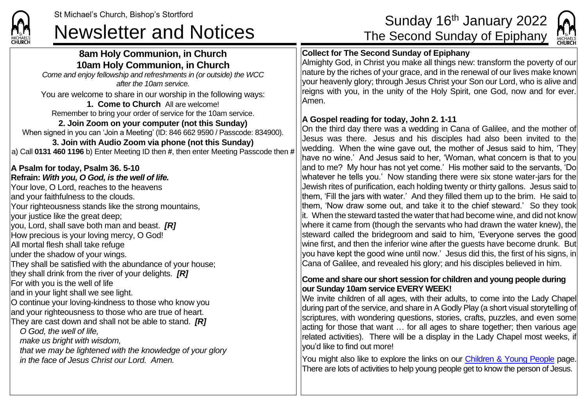

# **8am Holy Communion, in Church 10am Holy Communion, in Church**

*Come and enjoy fellowship and refreshments in (or outside) the WCC after the 10am service.*

You are welcome to share in our worship in the following ways: **1. Come to Church** All are welcome!

Remember to bring your order of service for the 10am service.

### **2. Join Zoom on your computer (not this Sunday)**

When signed in you can 'Join a Meeting' (ID: 846 662 9590 / Passcode: 834900).

#### **3. Join with Audio Zoom via phone (not this Sunday)** a) Call **0131 460 1196** b) Enter Meeting ID then **#**, then enter Meeting Passcode then **#**

## **A Psalm for today, Psalm 36. 5-10**

**Refrain:** *With you, O God, is the well of life.* Your love, O Lord, reaches to the heavens and your faithfulness to the clouds. Your righteousness stands like the strong mountains, your justice like the great deep; you, Lord, shall save both man and beast. *[R]* How precious is your loving mercy, O God! All mortal flesh shall take refuge under the shadow of your wings. They shall be satisfied with the abundance of your house; they shall drink from the river of your delights. *[R]* For with you is the well of life and in your light shall we see light. O continue your loving-kindness to those who know you and your righteousness to those who are true of heart. They are cast down and shall not be able to stand. *[R] O God, the well of life, make us bright with wisdom,*

*that we may be lightened with the knowledge of your glory in the face of Jesus Christ our Lord. Amen.*

# St Michael's Church, Bishop's Stortford Sunday 16th January 2022<br>Newsletter and Notices The Second Sunday of Epiphany



### **Collect for The Second Sunday of Epiphany**

Almighty God, in Christ you make all things new: transform the poverty of our nature by the riches of your grace, and in the renewal of our lives make known your heavenly glory; through Jesus Christ your Son our Lord, who is alive and reigns with you, in the unity of the Holy Spirit, one God, now and for ever. Amen.

#### **A Gospel reading for today, John 2. 1-11**

On the third day there was a wedding in Cana of Galilee, and the mother of Jesus was there. Jesus and his disciples had also been invited to the wedding. When the wine gave out, the mother of Jesus said to him, 'They have no wine.' And Jesus said to her, 'Woman, what concern is that to you and to me? My hour has not yet come.' His mother said to the servants, 'Do whatever he tells you.' Now standing there were six stone water-jars for the Jewish rites of purification, each holding twenty or thirty gallons. Jesus said to them, 'Fill the jars with water.' And they filled them up to the brim. He said to them, 'Now draw some out, and take it to the chief steward.' So they took it. When the steward tasted the water that had become wine, and did not know where it came from (though the servants who had drawn the water knew), the steward called the bridegroom and said to him, 'Everyone serves the good wine first, and then the inferior wine after the guests have become drunk. But you have kept the good wine until now.' Jesus did this, the first of his signs, in Cana of Galilee, and revealed his glory; and his disciples believed in him.

#### **Come and share our short session for children and young people during our Sunday 10am service EVERY WEEK!**

We invite children of all ages, with their adults, to come into the Lady Chapel during part of the service, and share in A Godly Play (a short visual storytelling of scriptures, with wondering questions, stories, crafts, puzzles, and even some acting for those that want … for all ages to share together; then various age related activities). There will be a display in the Lady Chapel most weeks, if you'd like to find out more!

You might also like to explore the links on our [Children & Young People](https://saintmichaelweb.org.uk/Groups/310496/Children_and_Young.aspx) page. There are lots of activities to help young people get to know the person of Jesus.